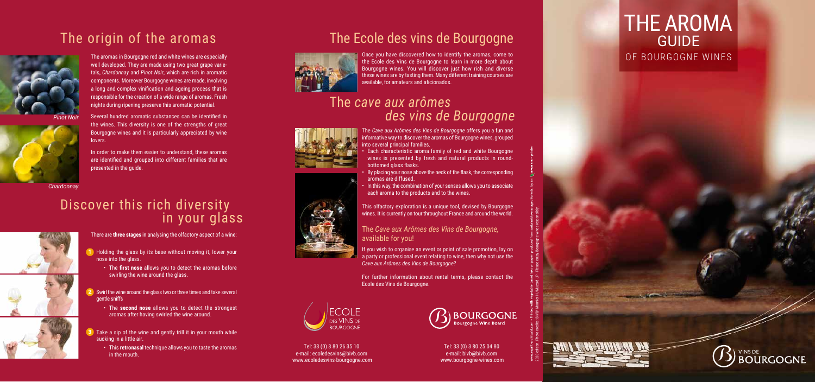- There are **three stages** in analysing the olfactory aspect of a wine:
- **1** Holding the glass by its base without moving it, lower your nose into the glass.
	- The **first nose** allows you to detect the aromas before swirling the wine around the glass.
- **2** Swirl the wine around the glass two or three times and take several gentle sniffs
	- The **second nose** allows you to detect the strongest aromas after having swirled the wine around.
- **3** Take a sip of the wine and gently trill it in your mouth while sucking in a little air.
	- This **retronasal** technique allows you to taste the aromas in the mouth.

# Discover this rich diversity in your glass



The *Cave aux Arômes des Vins de Bourgogne* offers you a fun and nformative way to discover the aromas of Bourgogne wines, grouped nto several principal families.



The aromas in Bourgogne red and white wines are especially well developed. They are made using two great grape varie tals, *Chardonnay* and *Pinot Noir*, which are rich in aromatic components. Moreover Bourgogne wines are made, involving a long and complex vinification and ageing process that is responsible for the creation of a wide range of aromas. Fresh nights during ripening preserve this aromatic potential.

Several hundred aromatic substances can be identified in the wines. This diversity is one of the strengths of great Bourgogne wines and it is particularly appreciated by wine lovers.

In order to make them easier to understand, these aromas are identified and grouped into different families that are presented in the guide.



*Pinot Noir*

*Chardonnay*

- Each characteristic aroma family of red and white Bourgogne wines is presented by fresh and natural products in roundbottomed glass flasks.
- By placing your nose above the neck of the flask, the corresponding aromas are diffused.
- In this way, the combination of your senses allows you to associate each aroma to the products and to the wines.

This olfactory exploration is a unique tool, devised by Bourgogne wines. It is currently on tour throughout France and around the world.

The *Cave aux Arômes des Vins de Bourgogne,*  available for you!

If you wish to organise an event or point of sale promotion, lay on a party or professional event relating to wine, then why not use the *Cave aux Arômes des Vins de Bourgogne?* 

For further information about rental terms, please contact the Ecole des Vins de Bourgogne.



Once you have discovered how to identify the aromas, come to the Ecole des Vins de Bourgogne to learn in more depth about Bourgogne wines. You will discover just how rich and diverse these wines are by tasting them. Many different training courses are available, for amateurs and aficionados.

Tel: 33 (0) 3 80 26 35 10 e-mail: ecoledesvins@bivb.com www.ecoledesvins-bourgogne.com



Tel: 33 (0) 3 80 25 04 80 e-mail: bivb@bivb.com www.bourgogne-wines.com

# 2020 edition. Photo credits: BIVB/ Monnier H./Muzard JP - Please enjoy Bourgogne wines responsibly.

# The Ecole des vins de Bourgogne



## The *cave aux arômes des vins de Bourgogne*







# THE AROMA **GUIDE** OF BOURGOGNE WINES